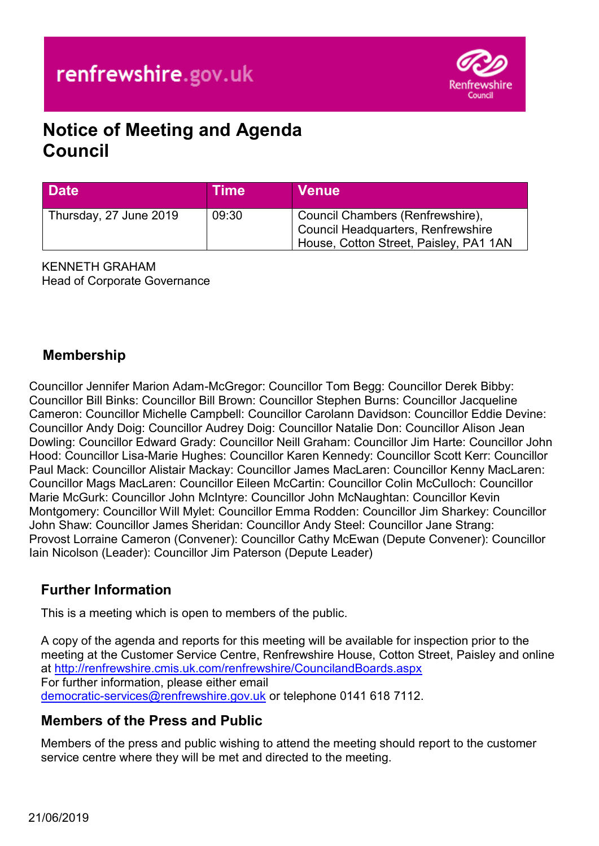

# **Notice of Meeting and Agenda Council**

| <b>Date</b>            | Time  | <b>Venue</b>                                                                                                            |
|------------------------|-------|-------------------------------------------------------------------------------------------------------------------------|
| Thursday, 27 June 2019 | 09:30 | Council Chambers (Renfrewshire),<br><b>Council Headquarters, Renfrewshire</b><br>House, Cotton Street, Paisley, PA1 1AN |

KENNETH GRAHAM Head of Corporate Governance

# **Membership**

Councillor Jennifer Marion Adam-McGregor: Councillor Tom Begg: Councillor Derek Bibby: Councillor Bill Binks: Councillor Bill Brown: Councillor Stephen Burns: Councillor Jacqueline Cameron: Councillor Michelle Campbell: Councillor Carolann Davidson: Councillor Eddie Devine: Councillor Andy Doig: Councillor Audrey Doig: Councillor Natalie Don: Councillor Alison Jean Dowling: Councillor Edward Grady: Councillor Neill Graham: Councillor Jim Harte: Councillor John Hood: Councillor Lisa-Marie Hughes: Councillor Karen Kennedy: Councillor Scott Kerr: Councillor Paul Mack: Councillor Alistair Mackay: Councillor James MacLaren: Councillor Kenny MacLaren: Councillor Mags MacLaren: Councillor Eileen McCartin: Councillor Colin McCulloch: Councillor Marie McGurk: Councillor John McIntyre: Councillor John McNaughtan: Councillor Kevin Montgomery: Councillor Will Mylet: Councillor Emma Rodden: Councillor Jim Sharkey: Councillor John Shaw: Councillor James Sheridan: Councillor Andy Steel: Councillor Jane Strang: Provost Lorraine Cameron (Convener): Councillor Cathy McEwan (Depute Convener): Councillor Iain Nicolson (Leader): Councillor Jim Paterson (Depute Leader)

# **Further Information**

This is a meeting which is open to members of the public.

A copy of the agenda and reports for this meeting will be available for inspection prior to the meeting at the Customer Service Centre, Renfrewshire House, Cotton Street, Paisley and online at <http://renfrewshire.cmis.uk.com/renfrewshire/CouncilandBoards.aspx> For further information, please either email [democratic-services@renfrewshire.gov.uk](mailto:democratic-services@renfrewshire.gov.uk) or telephone 0141 618 7112.

# **Members of the Press and Public**

Members of the press and public wishing to attend the meeting should report to the customer service centre where they will be met and directed to the meeting.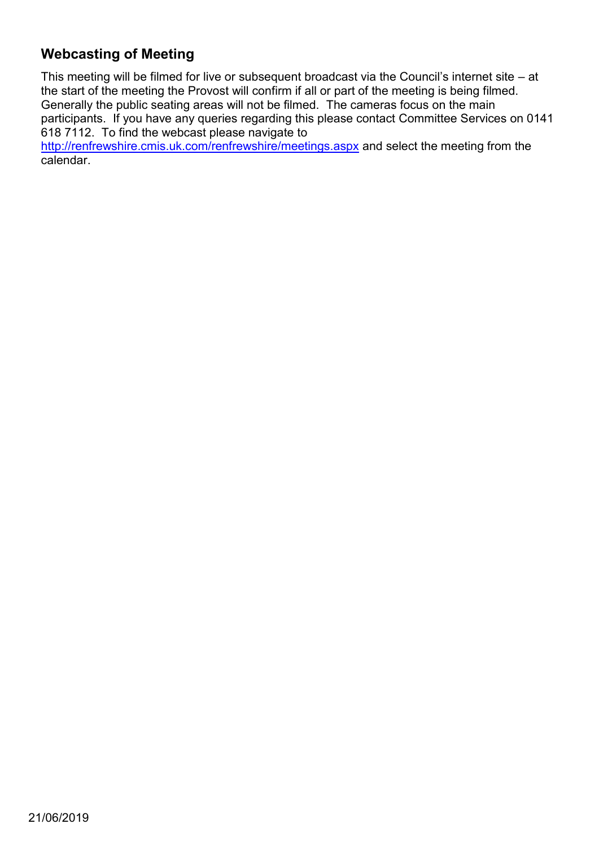# **Webcasting of Meeting**

This meeting will be filmed for live or subsequent broadcast via the Council's internet site – at the start of the meeting the Provost will confirm if all or part of the meeting is being filmed. Generally the public seating areas will not be filmed. The cameras focus on the main participants. If you have any queries regarding this please contact Committee Services on 0141 618 7112. To find the webcast please navigate to

<http://renfrewshire.cmis.uk.com/renfrewshire/meetings.aspx>and select the meeting from the calendar.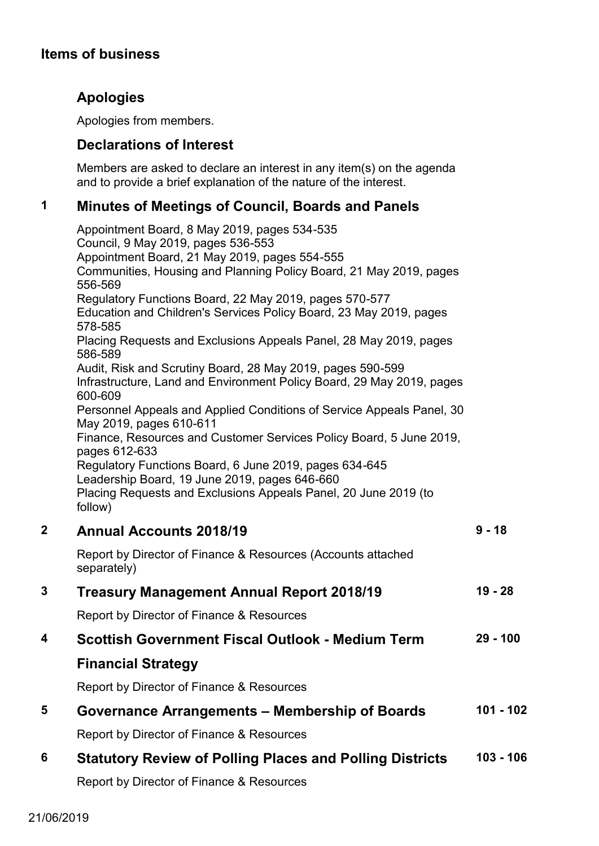# **Apologies**

Apologies from members.

# **Declarations of Interest**

Members are asked to declare an interest in any item(s) on the agenda and to provide a brief explanation of the nature of the interest.

# **1 Minutes of Meetings of Council, Boards and Panels**

Appointment Board, 8 May 2019, pages 534-535 Council, 9 May 2019, pages 536-553 Appointment Board, 21 May 2019, pages 554-555 Communities, Housing and Planning Policy Board, 21 May 2019, pages 556-569 Regulatory Functions Board, 22 May 2019, pages 570-577 Education and Children's Services Policy Board, 23 May 2019, pages 578-585 Placing Requests and Exclusions Appeals Panel, 28 May 2019, pages 586-589 Audit, Risk and Scrutiny Board, 28 May 2019, pages 590-599 Infrastructure, Land and Environment Policy Board, 29 May 2019, pages 600-609 Personnel Appeals and Applied Conditions of Service Appeals Panel, 30 May 2019, pages 610-611 Finance, Resources and Customer Services Policy Board, 5 June 2019, pages 612-633 Regulatory Functions Board, 6 June 2019, pages 634-645 Leadership Board, 19 June 2019, pages 646-660 Placing Requests and Exclusions Appeals Panel, 20 June 2019 (to follow) **2 Annual Accounts 2018/19**  Report by Director of Finance & Resources (Accounts attached separately) **9 - 18**

# **3 Treasury Management Annual Report 2018/19**  Report by Director of Finance & Resources **19 - 28 4 Scottish Government Fiscal Outlook - Medium Term Financial Strategy**  Report by Director of Finance & Resources **29 - 100 5 Governance Arrangements – Membership of Boards**  Report by Director of Finance & Resources **101 - 102**

#### **6 Statutory Review of Polling Places and Polling Districts 103 - 106**

Report by Director of Finance & Resources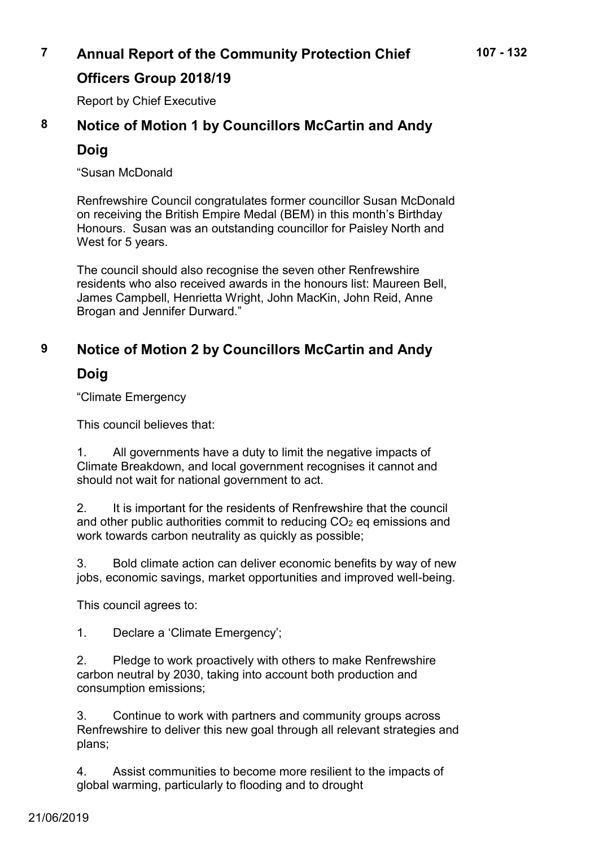# **7 Annual Report of the Community Protection Chief**

# **Officers Group 2018/19**

Report by Chief Executive

# **8 Notice of Motion 1 by Councillors McCartin and Andy**

# **Doig**

"Susan McDonald

Renfrewshire Council congratulates former councillor Susan McDonald on receiving the British Empire Medal (BEM) in this month's Birthday Honours. Susan was an outstanding councillor for Paisley North and West for 5 years.

The council should also recognise the seven other Renfrewshire residents who also received awards in the honours list: Maureen Bell, James Campbell, Henrietta Wright, John MacKin, John Reid, Anne Brogan and Jennifer Durward."

# **9 Notice of Motion 2 by Councillors McCartin and Andy**

# **Doig**

"Climate Emergency

This council believes that:

1. All governments have a duty to limit the negative impacts of Climate Breakdown, and local government recognises it cannot and should not wait for national government to act.

2. It is important for the residents of Renfrewshire that the council and other public authorities commit to reducing CO<sub>2</sub> eq emissions and work towards carbon neutrality as quickly as possible;

3. Bold climate action can deliver economic benefits by way of new jobs, economic savings, market opportunities and improved well-being.

This council agrees to:

1. Declare a 'Climate Emergency';

2. Pledge to work proactively with others to make Renfrewshire carbon neutral by 2030, taking into account both production and consumption emissions;

3. Continue to work with partners and community groups across Renfrewshire to deliver this new goal through all relevant strategies and plans;

4. Assist communities to become more resilient to the impacts of global warming, particularly to flooding and to drought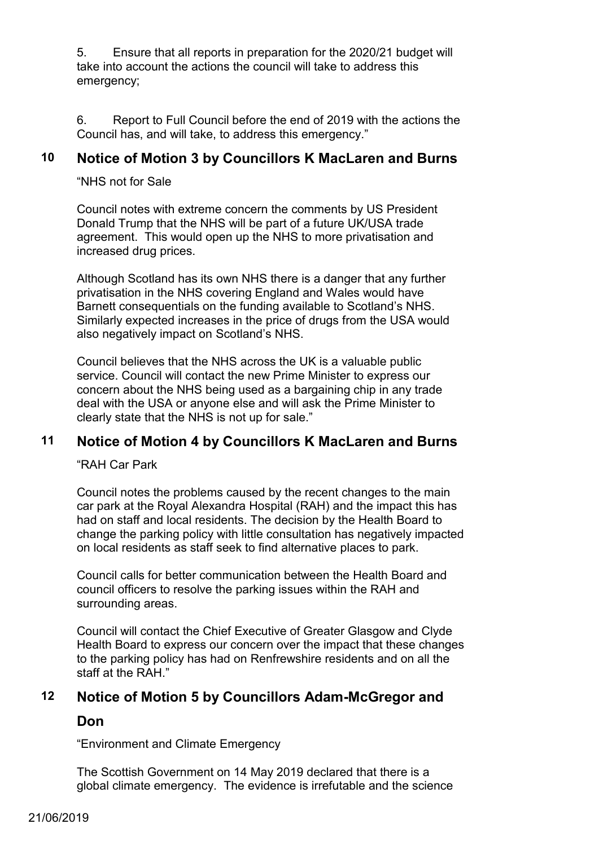5. Ensure that all reports in preparation for the 2020/21 budget will take into account the actions the council will take to address this emergency;

6. Report to Full Council before the end of 2019 with the actions the Council has, and will take, to address this emergency."

# **10 Notice of Motion 3 by Councillors K MacLaren and Burns**

"NHS not for Sale

Council notes with extreme concern the comments by US President Donald Trump that the NHS will be part of a future UK/USA trade agreement. This would open up the NHS to more privatisation and increased drug prices.

Although Scotland has its own NHS there is a danger that any further privatisation in the NHS covering England and Wales would have Barnett consequentials on the funding available to Scotland's NHS. Similarly expected increases in the price of drugs from the USA would also negatively impact on Scotland's NHS.

Council believes that the NHS across the UK is a valuable public service. Council will contact the new Prime Minister to express our concern about the NHS being used as a bargaining chip in any trade deal with the USA or anyone else and will ask the Prime Minister to clearly state that the NHS is not up for sale."

# **11 Notice of Motion 4 by Councillors K MacLaren and Burns**

"RAH Car Park

Council notes the problems caused by the recent changes to the main car park at the Royal Alexandra Hospital (RAH) and the impact this has had on staff and local residents. The decision by the Health Board to change the parking policy with little consultation has negatively impacted on local residents as staff seek to find alternative places to park.

Council calls for better communication between the Health Board and council officers to resolve the parking issues within the RAH and surrounding areas.

Council will contact the Chief Executive of Greater Glasgow and Clyde Health Board to express our concern over the impact that these changes to the parking policy has had on Renfrewshire residents and on all the staff at the RAH"

## **12 Notice of Motion 5 by Councillors Adam-McGregor and**

### **Don**

"Environment and Climate Emergency

The Scottish Government on 14 May 2019 declared that there is a global climate emergency. The evidence is irrefutable and the science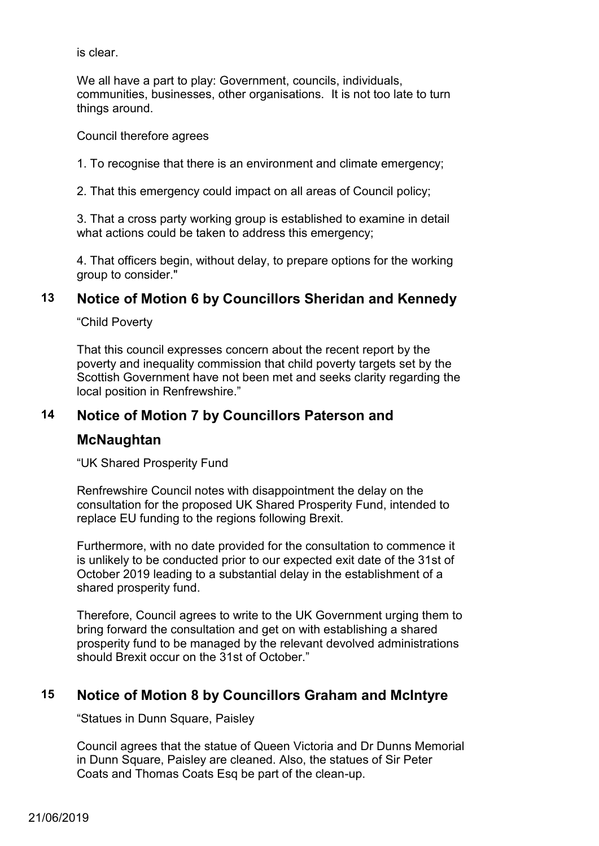is clear.

We all have a part to play: Government, councils, individuals, communities, businesses, other organisations. It is not too late to turn things around.

Council therefore agrees

1. To recognise that there is an environment and climate emergency;

2. That this emergency could impact on all areas of Council policy;

3. That a cross party working group is established to examine in detail what actions could be taken to address this emergency;

4. That officers begin, without delay, to prepare options for the working group to consider."

# **13 Notice of Motion 6 by Councillors Sheridan and Kennedy**

"Child Poverty

That this council expresses concern about the recent report by the poverty and inequality commission that child poverty targets set by the Scottish Government have not been met and seeks clarity regarding the local position in Renfrewshire."

# **14 Notice of Motion 7 by Councillors Paterson and**

## **McNaughtan**

"UK Shared Prosperity Fund

Renfrewshire Council notes with disappointment the delay on the consultation for the proposed UK Shared Prosperity Fund, intended to replace EU funding to the regions following Brexit.

Furthermore, with no date provided for the consultation to commence it is unlikely to be conducted prior to our expected exit date of the 31st of October 2019 leading to a substantial delay in the establishment of a shared prosperity fund.

Therefore, Council agrees to write to the UK Government urging them to bring forward the consultation and get on with establishing a shared prosperity fund to be managed by the relevant devolved administrations should Brexit occur on the 31st of October."

# **15 Notice of Motion 8 by Councillors Graham and McIntyre**

"Statues in Dunn Square, Paisley

Council agrees that the statue of Queen Victoria and Dr Dunns Memorial in Dunn Square, Paisley are cleaned. Also, the statues of Sir Peter Coats and Thomas Coats Esq be part of the clean-up.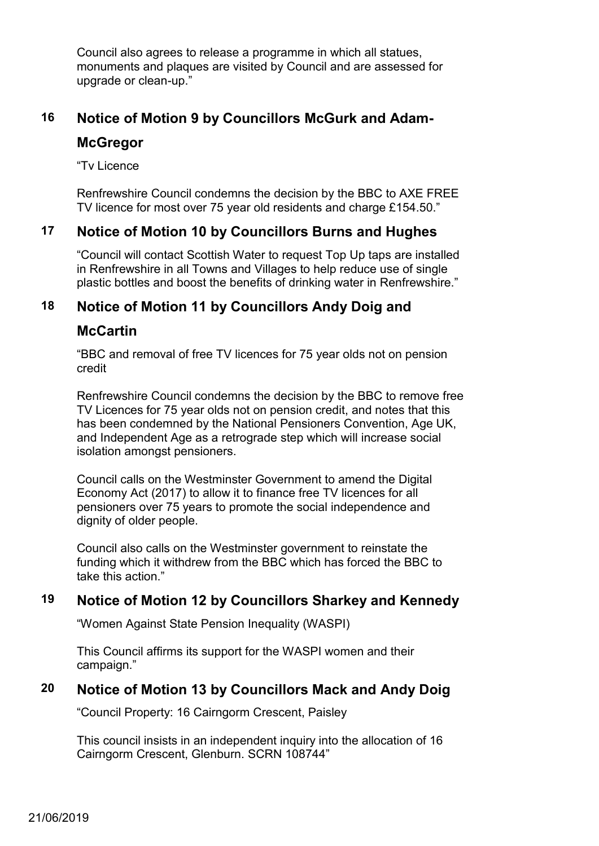Council also agrees to release a programme in which all statues, monuments and plaques are visited by Council and are assessed for upgrade or clean-up."

# **16 Notice of Motion 9 by Councillors McGurk and Adam-**

# **McGregor**

"Tv Licence

Renfrewshire Council condemns the decision by the BBC to AXE FREE TV licence for most over 75 year old residents and charge £154.50."

# **17 Notice of Motion 10 by Councillors Burns and Hughes**

"Council will contact Scottish Water to request Top Up taps are installed in Renfrewshire in all Towns and Villages to help reduce use of single plastic bottles and boost the benefits of drinking water in Renfrewshire."

# **18 Notice of Motion 11 by Councillors Andy Doig and**

# **McCartin**

"BBC and removal of free TV licences for 75 year olds not on pension credit

Renfrewshire Council condemns the decision by the BBC to remove free TV Licences for 75 year olds not on pension credit, and notes that this has been condemned by the National Pensioners Convention, Age UK, and Independent Age as a retrograde step which will increase social isolation amongst pensioners.

Council calls on the Westminster Government to amend the Digital Economy Act (2017) to allow it to finance free TV licences for all pensioners over 75 years to promote the social independence and dignity of older people.

Council also calls on the Westminster government to reinstate the funding which it withdrew from the BBC which has forced the BBC to take this action."

# **19 Notice of Motion 12 by Councillors Sharkey and Kennedy**

"Women Against State Pension Inequality (WASPI)

This Council affirms its support for the WASPI women and their campaign."

# **20 Notice of Motion 13 by Councillors Mack and Andy Doig**

"Council Property: 16 Cairngorm Crescent, Paisley

This council insists in an independent inquiry into the allocation of 16 Cairngorm Crescent, Glenburn. SCRN 108744"